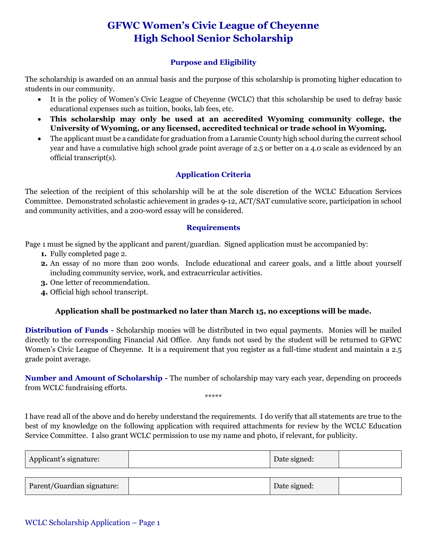# **GFWC Women's Civic League of Cheyenne High School Senior Scholarship**

### **Purpose and Eligibility**

The scholarship is awarded on an annual basis and the purpose of this scholarship is promoting higher education to students in our community.

- It is the policy of Women's Civic League of Cheyenne (WCLC) that this scholarship be used to defray basic educational expenses such as tuition, books, lab fees, etc.
- **This scholarship may only be used at an accredited Wyoming community college, the University of Wyoming, or any licensed, accredited technical or trade school in Wyoming.**
- The applicant must be a candidate for graduation from a Laramie County high school during the current school year and have a cumulative high school grade point average of 2.5 or better on a 4.0 scale as evidenced by an official transcript(s).

### **Application Criteria**

The selection of the recipient of this scholarship will be at the sole discretion of the WCLC Education Services Committee. Demonstrated scholastic achievement in grades 9-12, ACT/SAT cumulative score, participation in school and community activities, and a 200-word essay will be considered.

#### **Requirements**

Page 1 must be signed by the applicant and parent/guardian. Signed application must be accompanied by:

- **1.** Fully completed page 2.
- **2.** An essay of no more than 200 words. Include educational and career goals, and a little about yourself including community service, work, and extracurricular activities.
- **3.** One letter of recommendation.
- **4.** Official high school transcript.

#### **Application shall be postmarked no later than March 15, no exceptions will be made.**

**Distribution of Funds -** Scholarship monies will be distributed in two equal payments. Monies will be mailed directly to the corresponding Financial Aid Office. Any funds not used by the student will be returned to GFWC Women's Civic League of Cheyenne. It is a requirement that you register as a full-time student and maintain a 2.5 grade point average.

**Number and Amount of Scholarship -** The number of scholarship may vary each year, depending on proceeds from WCLC fundraising efforts. \*\*\*\*\*

I have read all of the above and do hereby understand the requirements. I do verify that all statements are true to the best of my knowledge on the following application with required attachments for review by the WCLC Education Service Committee. I also grant WCLC permission to use my name and photo, if relevant, for publicity.

| Applicant's signature:     | Date signed: |  |
|----------------------------|--------------|--|
|                            |              |  |
| Parent/Guardian signature: | Date signed: |  |